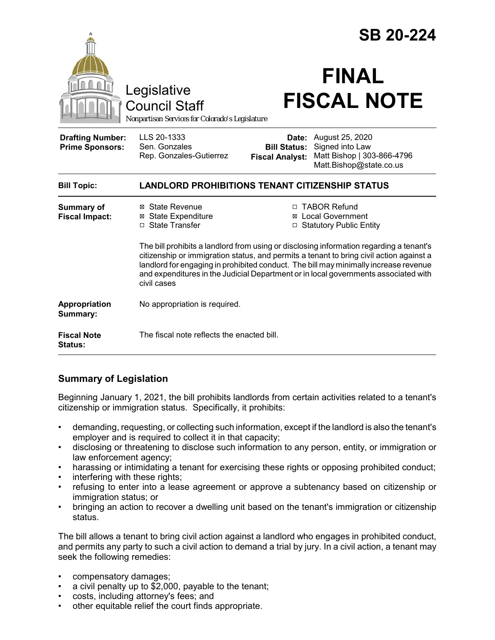|                                                   |                                                                                                                                                                                            |                                                                                                                                                                                                                                                         | <b>SB 20-224</b>                                                                            |
|---------------------------------------------------|--------------------------------------------------------------------------------------------------------------------------------------------------------------------------------------------|---------------------------------------------------------------------------------------------------------------------------------------------------------------------------------------------------------------------------------------------------------|---------------------------------------------------------------------------------------------|
|                                                   | Legislative<br><b>Council Staff</b><br>Nonpartisan Services for Colorado's Legislature                                                                                                     |                                                                                                                                                                                                                                                         | <b>FINAL</b><br><b>FISCAL NOTE</b>                                                          |
| <b>Drafting Number:</b><br><b>Prime Sponsors:</b> | LLS 20-1333<br>Sen. Gonzales<br>Rep. Gonzales-Gutierrez                                                                                                                                    | Date:<br><b>Bill Status:</b><br><b>Fiscal Analyst:</b>                                                                                                                                                                                                  | August 25, 2020<br>Signed into Law<br>Matt Bishop   303-866-4796<br>Matt.Bishop@state.co.us |
| <b>Bill Topic:</b>                                | <b>LANDLORD PROHIBITIONS TENANT CITIZENSHIP STATUS</b>                                                                                                                                     |                                                                                                                                                                                                                                                         |                                                                                             |
| <b>Summary of</b><br><b>Fiscal Impact:</b>        | ⊠ State Revenue<br><b>⊠</b> State Expenditure<br>□ State Transfer                                                                                                                          | □ TABOR Refund<br>⊠ Local Government<br>□ Statutory Public Entity<br>The bill prohibits a landlord from using or disclosing information regarding a tenant's<br>citizenship or immigration status, and permits a tenant to bring civil action against a |                                                                                             |
|                                                   | landlord for engaging in prohibited conduct. The bill may minimally increase revenue<br>and expenditures in the Judicial Department or in local governments associated with<br>civil cases |                                                                                                                                                                                                                                                         |                                                                                             |
| Appropriation<br>Summary:                         | No appropriation is required.                                                                                                                                                              |                                                                                                                                                                                                                                                         |                                                                                             |
| <b>Fiscal Note</b><br><b>Status:</b>              | The fiscal note reflects the enacted bill.                                                                                                                                                 |                                                                                                                                                                                                                                                         |                                                                                             |

## **Summary of Legislation**

Beginning January 1, 2021, the bill prohibits landlords from certain activities related to a tenant's citizenship or immigration status. Specifically, it prohibits:

- demanding, requesting, or collecting such information, except if the landlord is also the tenant's employer and is required to collect it in that capacity;
- disclosing or threatening to disclose such information to any person, entity, or immigration or law enforcement agency;
- harassing or intimidating a tenant for exercising these rights or opposing prohibited conduct;
- interfering with these rights;
- refusing to enter into a lease agreement or approve a subtenancy based on citizenship or immigration status; or
- bringing an action to recover a dwelling unit based on the tenant's immigration or citizenship status.

The bill allows a tenant to bring civil action against a landlord who engages in prohibited conduct, and permits any party to such a civil action to demand a trial by jury. In a civil action, a tenant may seek the following remedies:

- compensatory damages;
- a civil penalty up to \$2,000, payable to the tenant;
- costs, including attorney's fees; and
- other equitable relief the court finds appropriate.